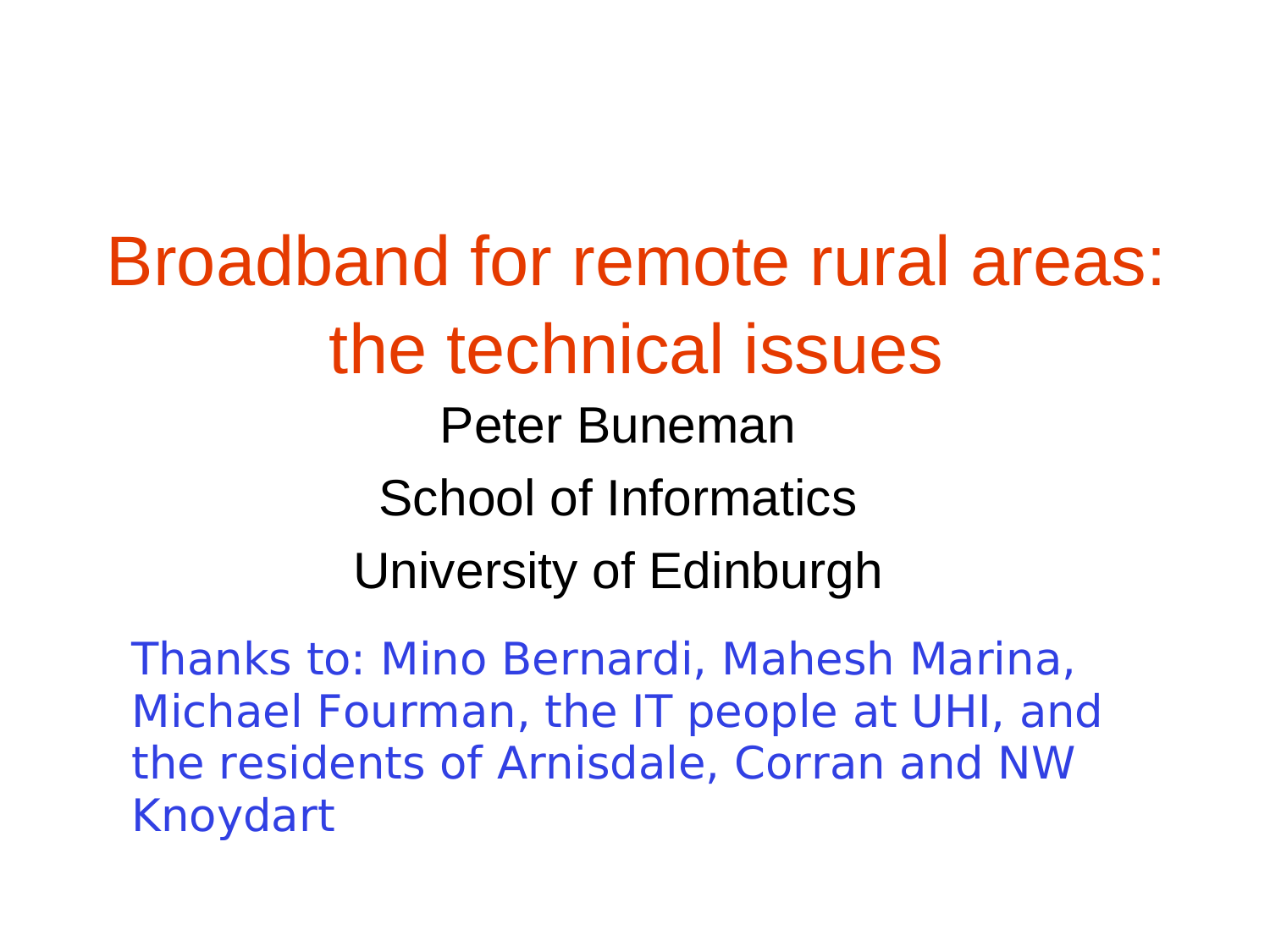Broadband for remote rural areas: the technical issues **Peter Buneman School of Informatics** University of Edinburgh

Thanks to: Mino Bernardi, Mahesh Marina, Michael Fourman, the IT people at UHI, and the residents of Arnisdale, Corran and NW Knoydart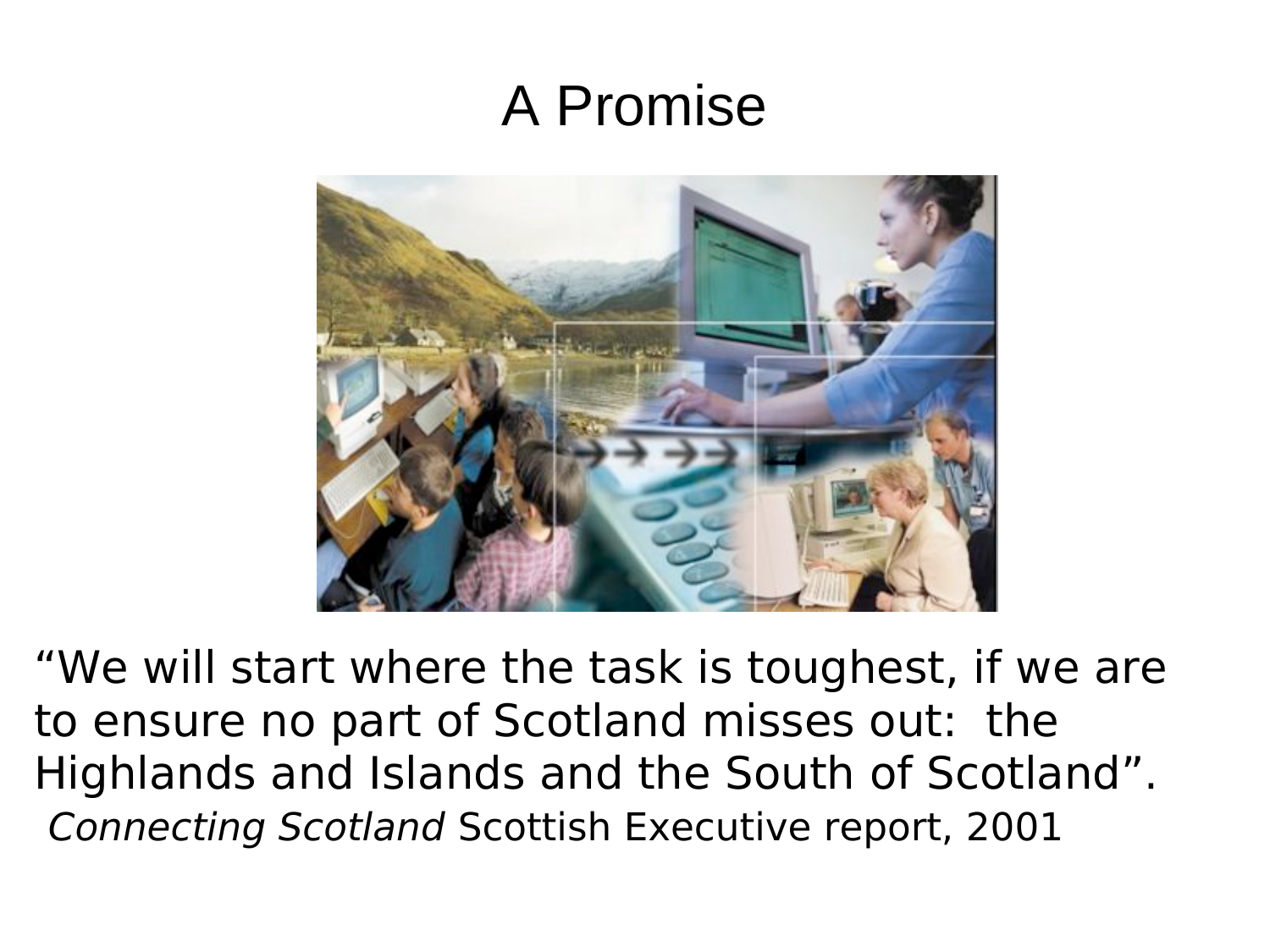## A Promise



"We will start where the task is toughest, if we are to ensure no part of Scotland misses out: the Highlands and Islands and the South of Scotland". Connecting Scotland Scottish Executive report, 2001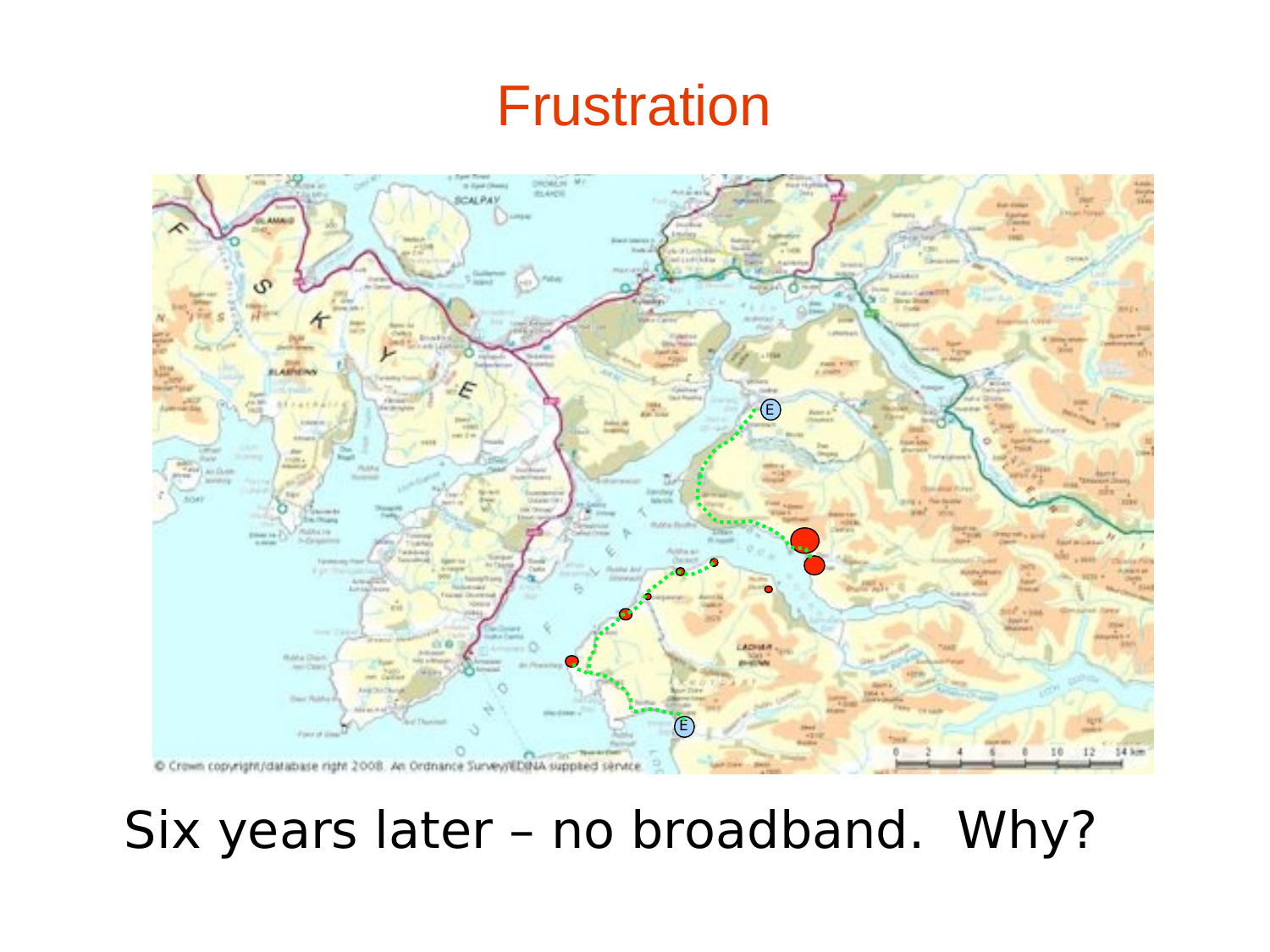## **Frustration**



## Six years later - no broadband. Why?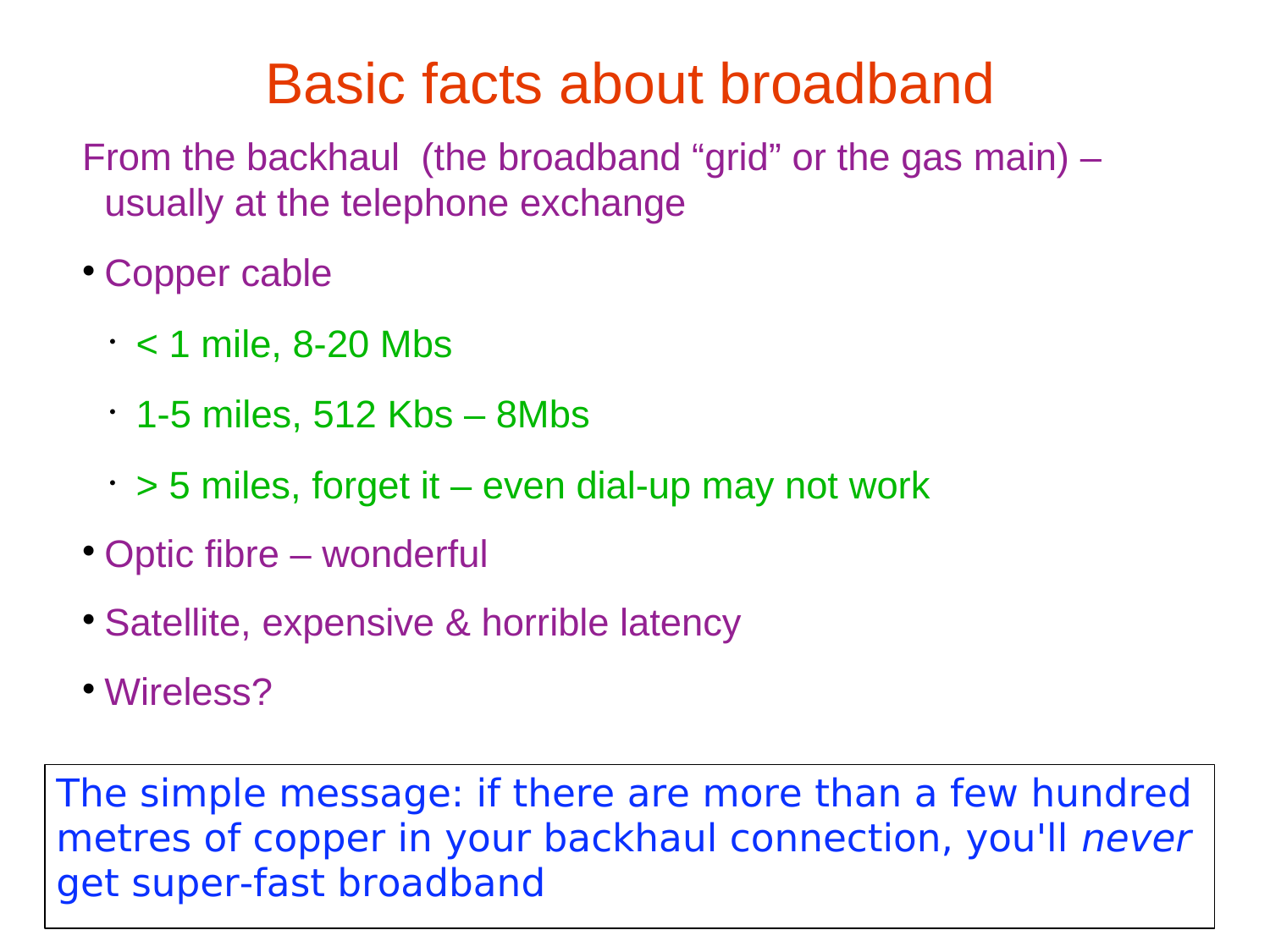## **Basic facts about broadband**

From the backhaul (the broadband "grid" or the gas main)  $$ usually at the telephone exchange

- Copper cable
	- $\cdot$  < 1 mile, 8-20 Mbs
	- $\cdot$  1-5 miles, 512 Kbs 8Mbs
	- $\cdot$  > 5 miles, forget it even dial-up may not work
- Optic fibre wonderful
- · Satellite, expensive & horrible latency
- · Wireless?

The simple message: if there are more than a few hundred metres of copper in your backhaul connection, you'll never get super-fast broadband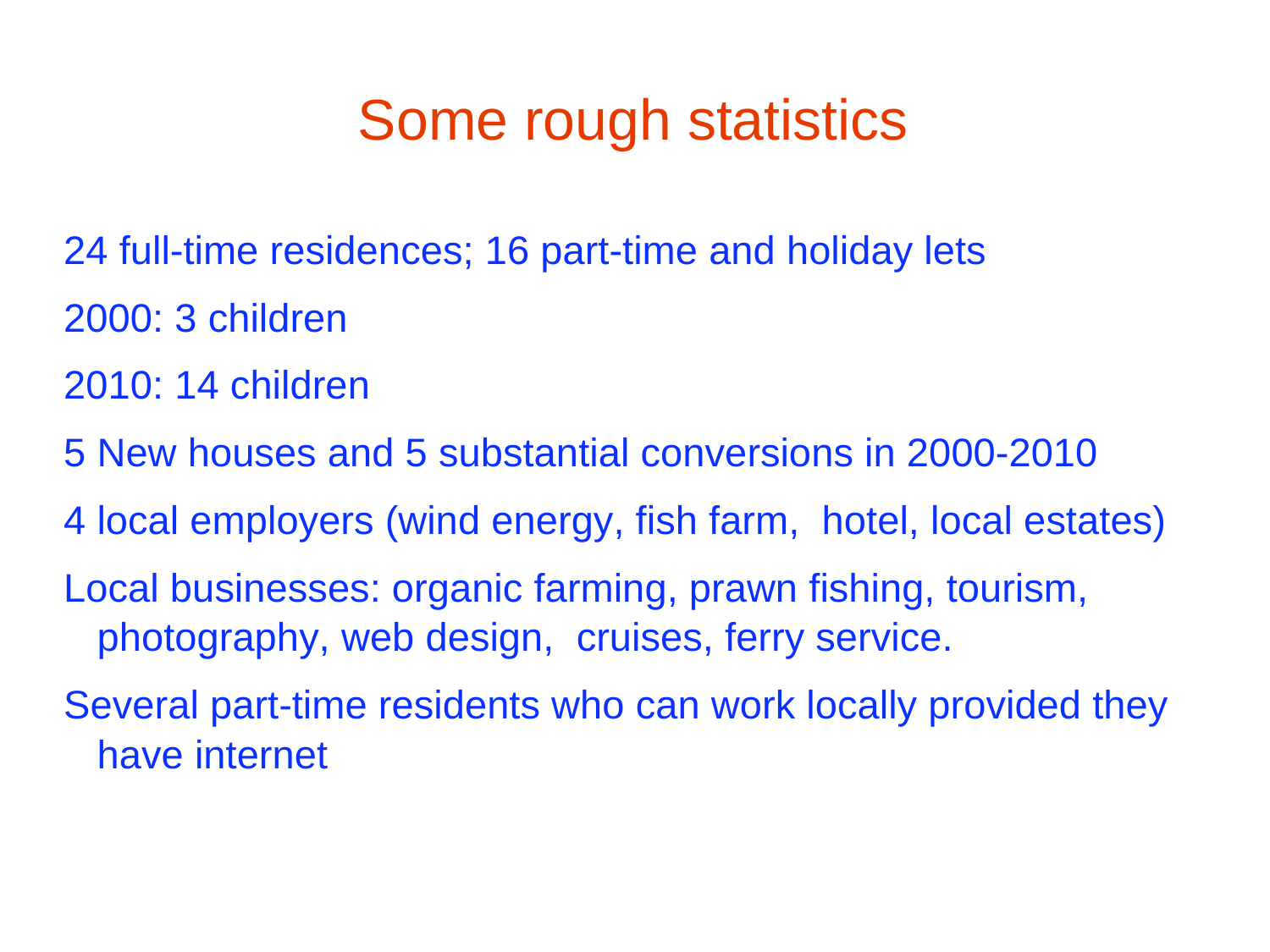## **Some rough statistics**

- 24 full-time residences; 16 part-time and holiday lets
- 2000: 3 children
- 2010: 14 children
- 5 New houses and 5 substantial conversions in 2000-2010
- 4 local employers (wind energy, fish farm, hotel, local estates)
- Local businesses: organic farming, prawn fishing, tourism, photography, web design, cruises, ferry service.
- Several part-time residents who can work locally provided they have internet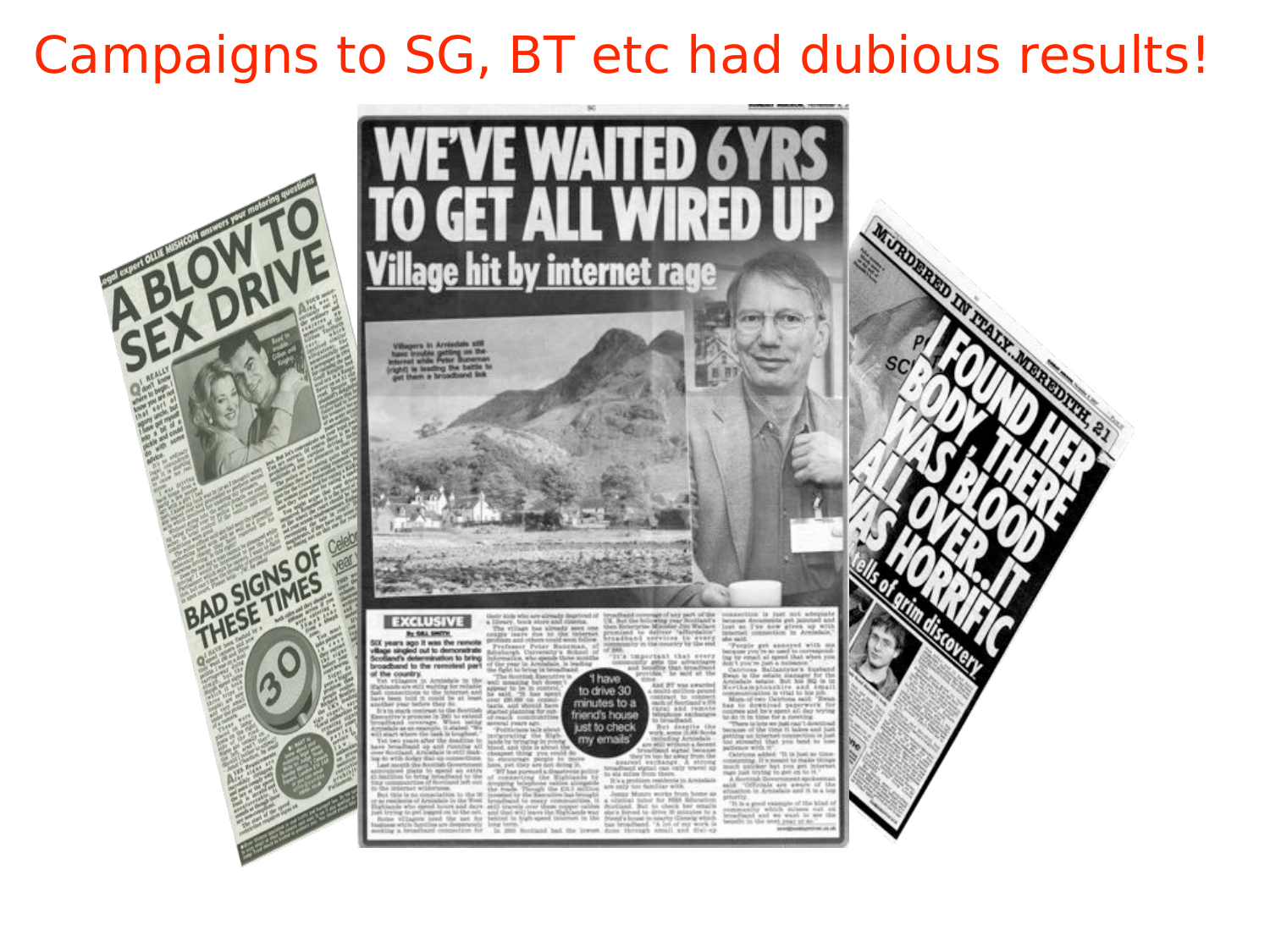## Campaigns to SG, BT etc had dubious results!



is to a id's housi to chec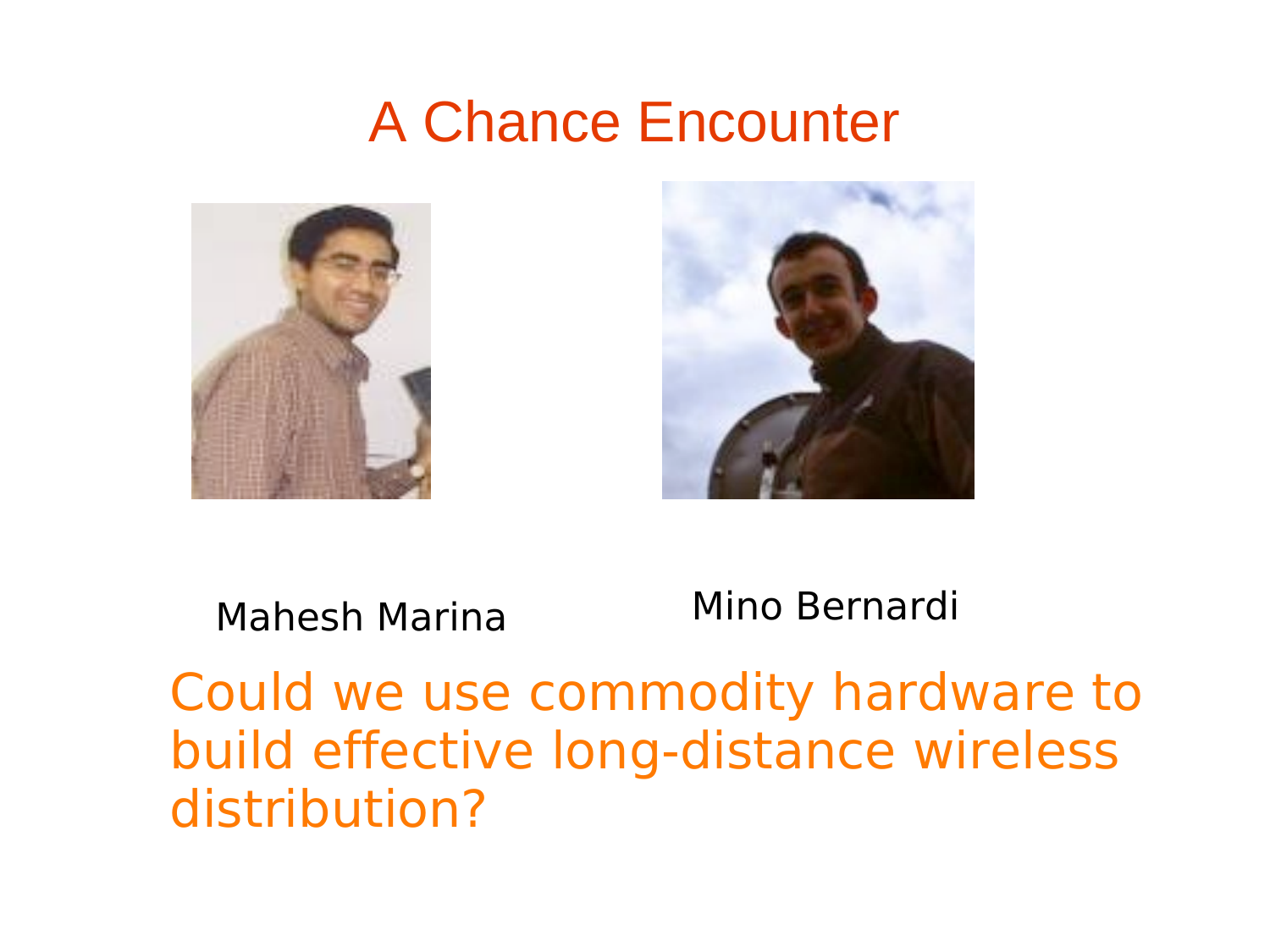## **A Chance Encounter**





**Mahesh Marina** 

Mino Bernardi

Could we use commodity hardware to build effective long-distance wireless distribution?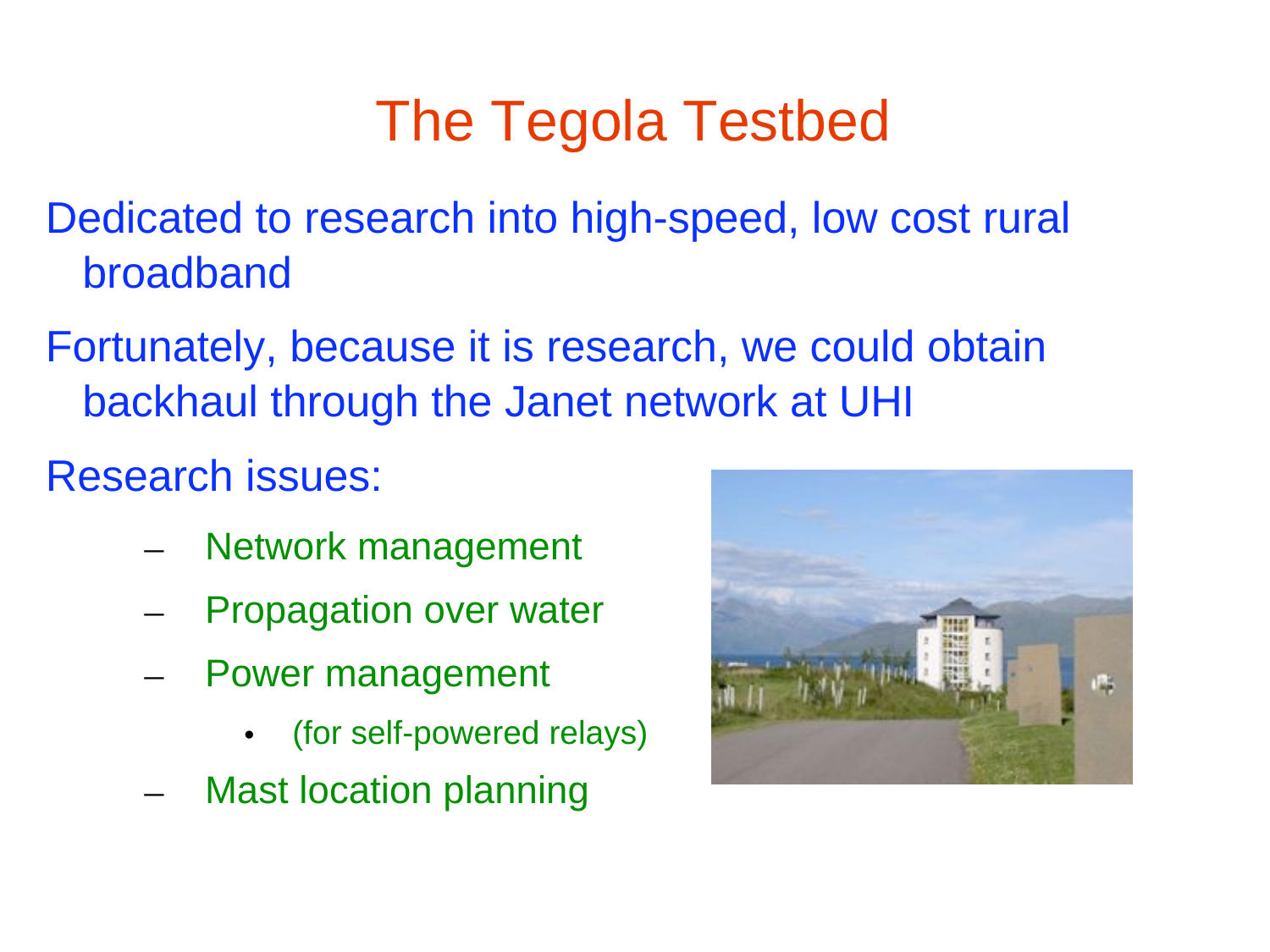## The Tegola Testbed

Dedicated to research into high-speed, low cost rural broadband

Fortunately, because it is research, we could obtain backhaul through the Janet network at UHI

**Research issues:** 

- **Network management**
- **Propagation over water**
- **Power management** 
	- (for self-powered relays)
- **Mast location planning**

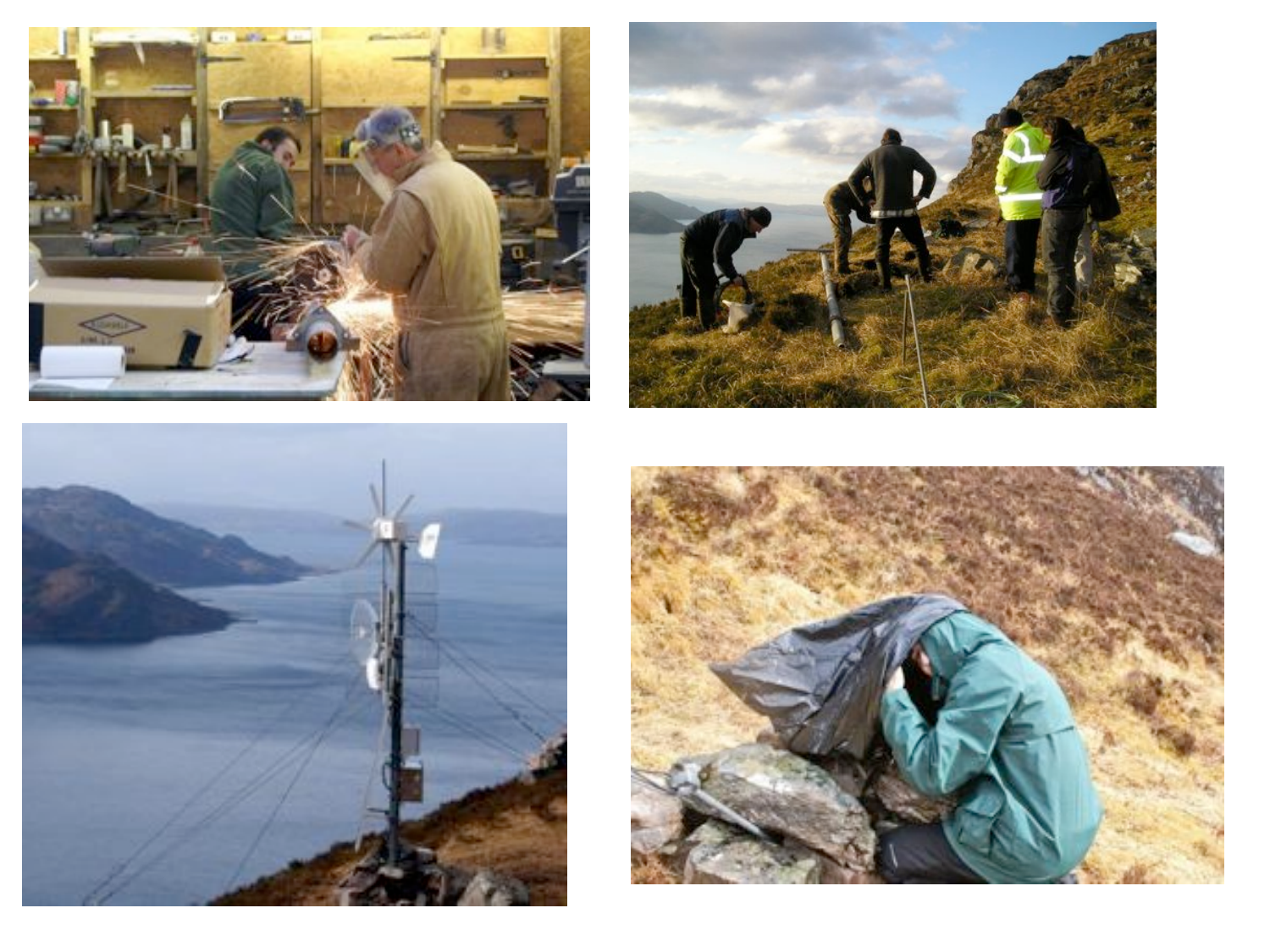





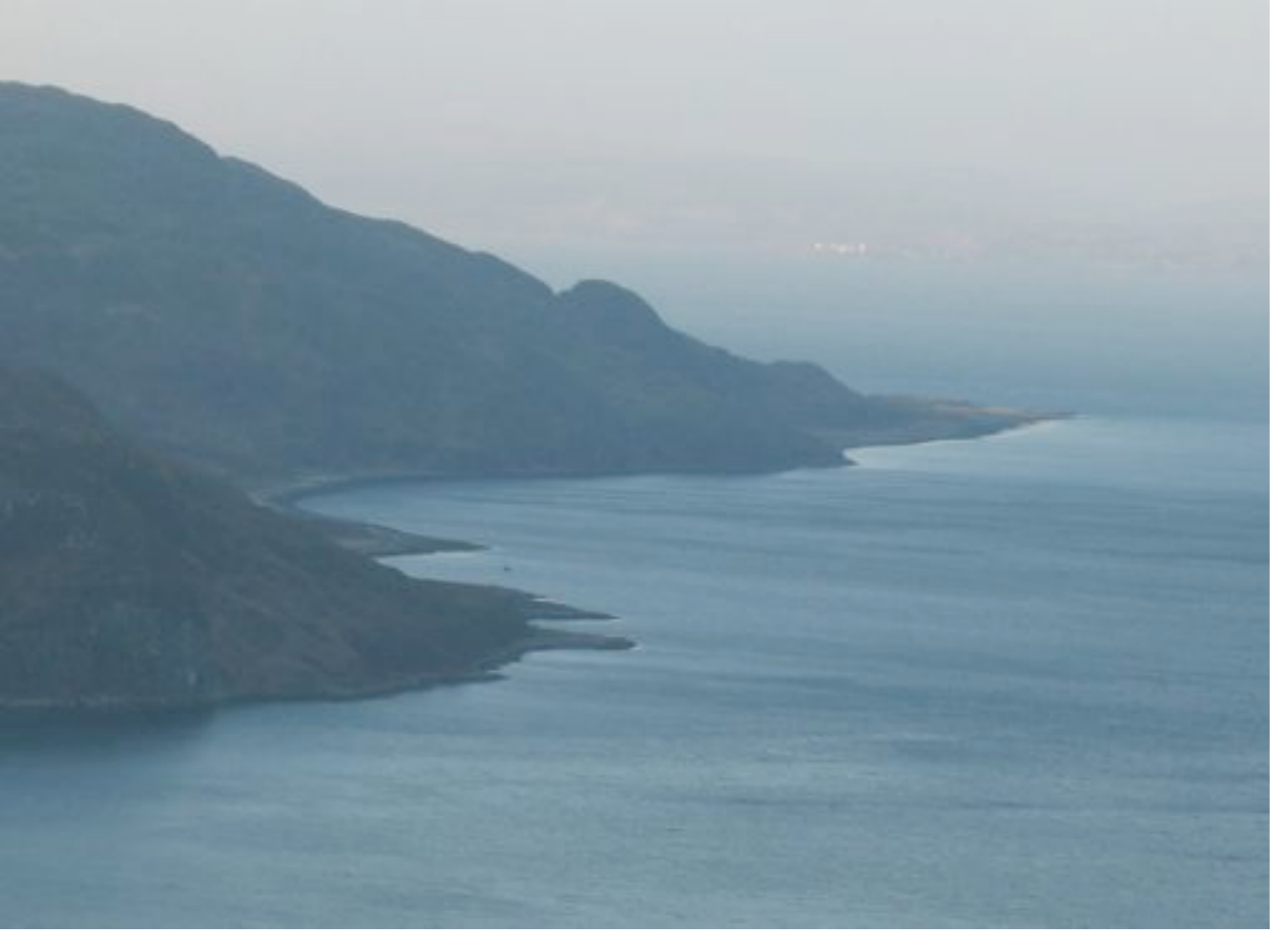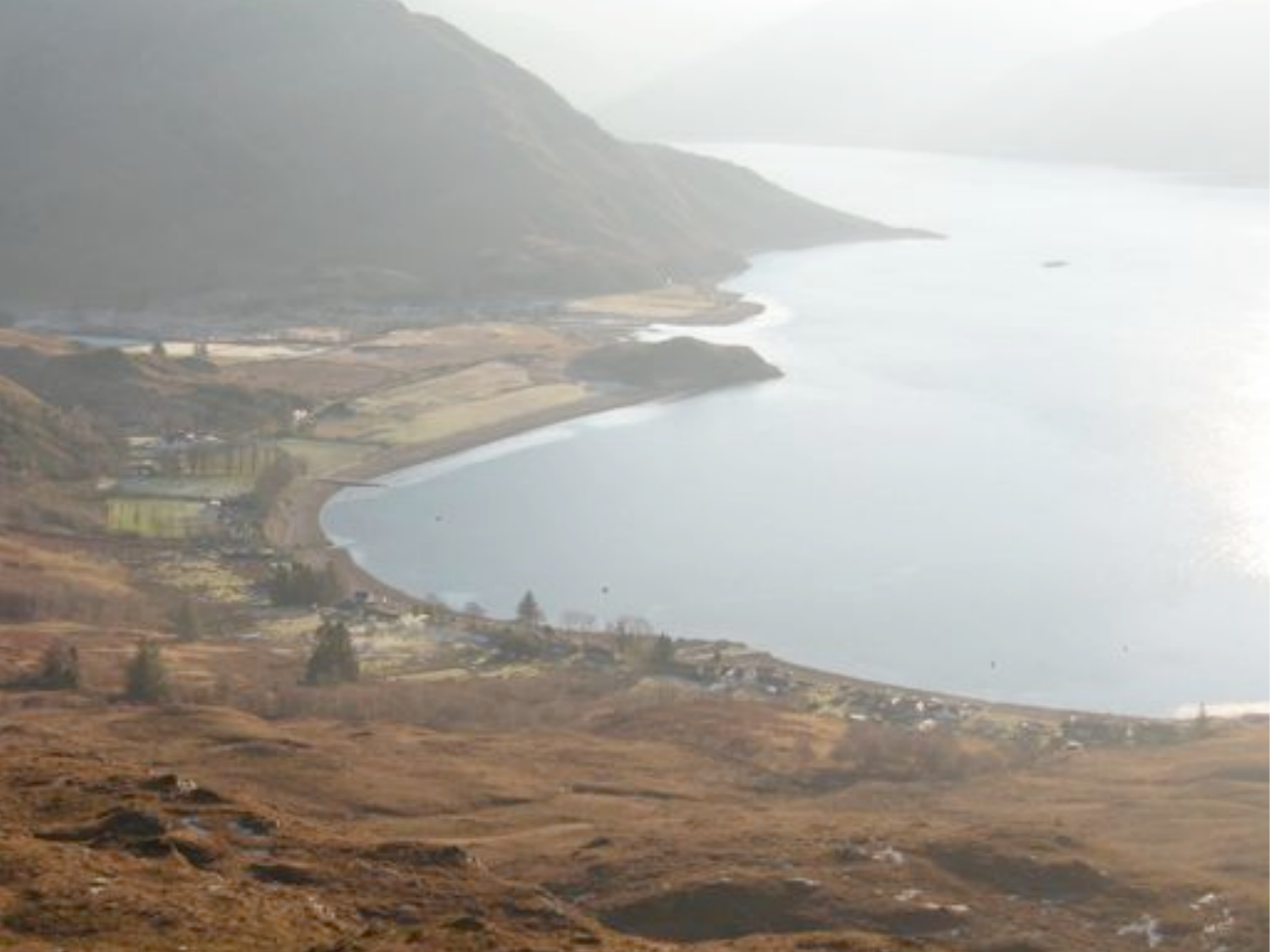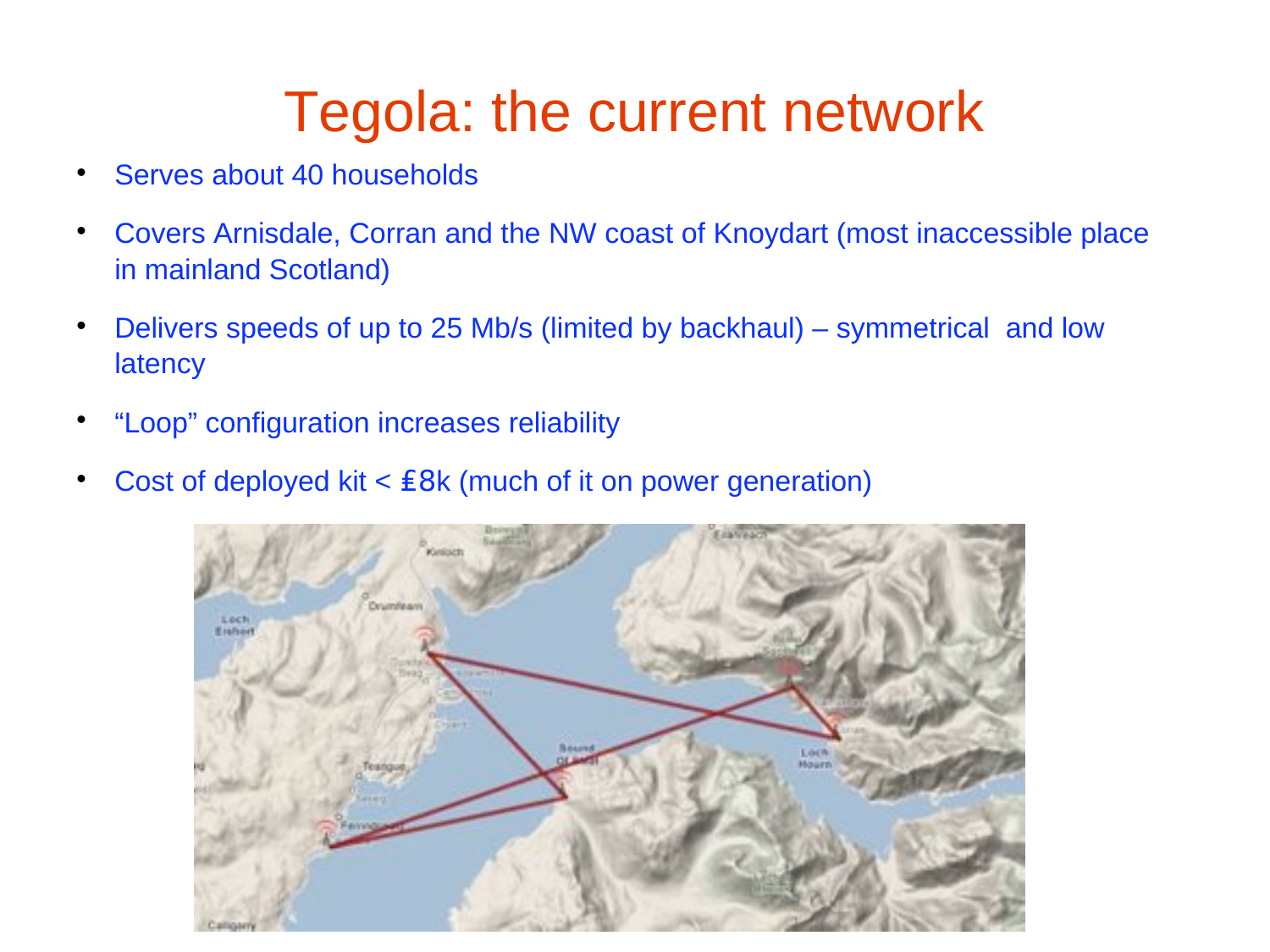## Tegola: the current network

- Serves about 40 households  $\bullet$
- Covers Arnisdale, Corran and the NW coast of Knoydart (most inaccessible place  $\bullet$ in mainland Scotland)
- Delivers speeds of up to 25 Mb/s (limited by backhaul) symmetrical and low  $\bullet$ latency
- "Loop" configuration increases reliability  $\epsilon$
- Cost of deployed kit  $\leq$  £8k (much of it on power generation)  $\bullet$

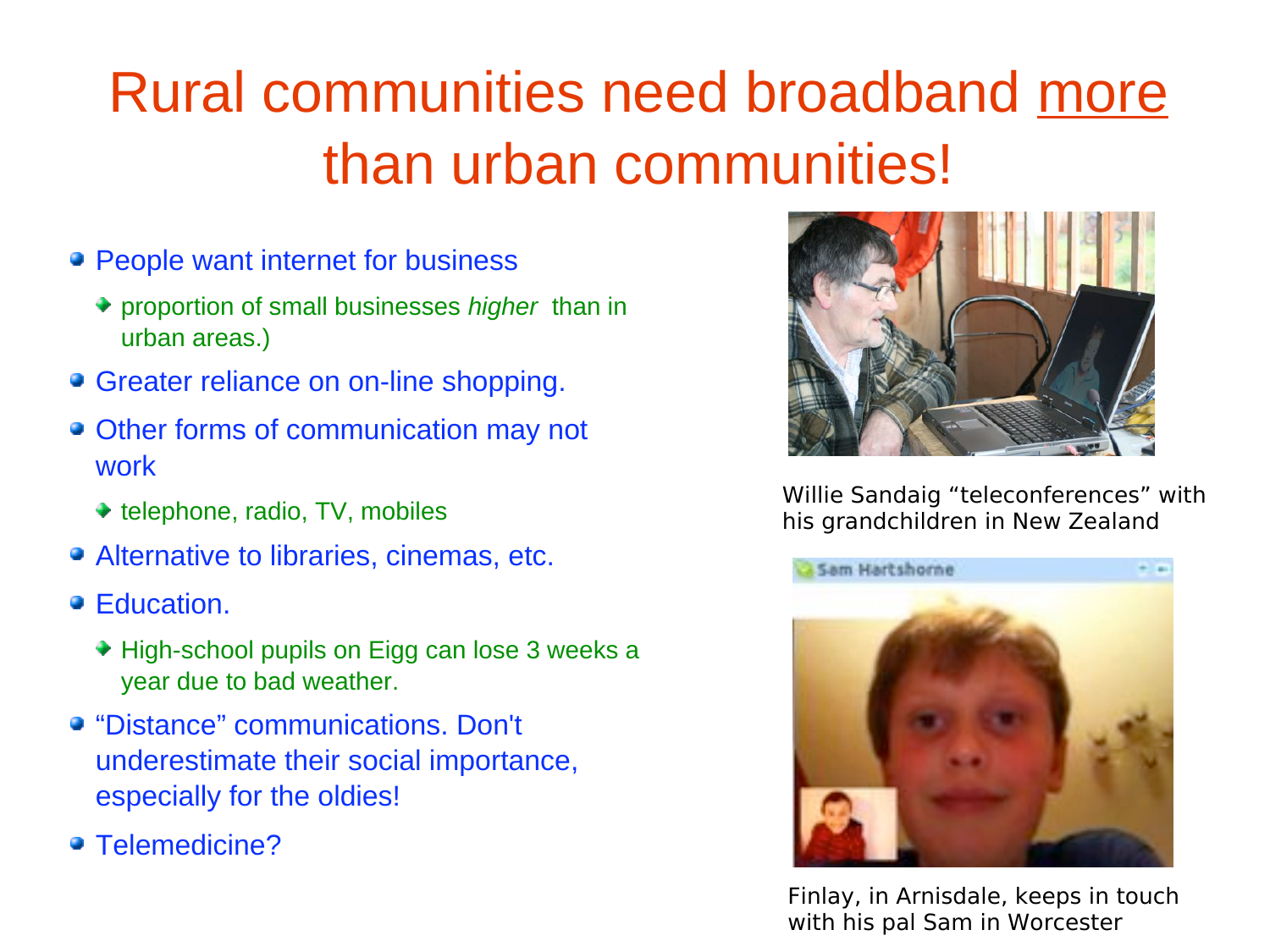# **Rural communities need broadband more** than urban communities!

- People want internet for business
	- ◆ proportion of small businesses *higher* than in urban areas.)
- Greater reliance on on-line shopping.
- Other forms of communication may not work
	- ◆ telephone, radio, TV, mobiles
- Alternative to libraries, cinemas, etc.
- Education.
	- ◆ High-school pupils on Eigg can lose 3 weeks a year due to bad weather.
- "Distance" communications. Don't underestimate their social importance, especially for the oldies!
- Telemedicine?



Willie Sandaig "teleconferences" with his grandchildren in New Zealand



Finlay, in Arnisdale, keeps in touch with his pal Sam in Worcester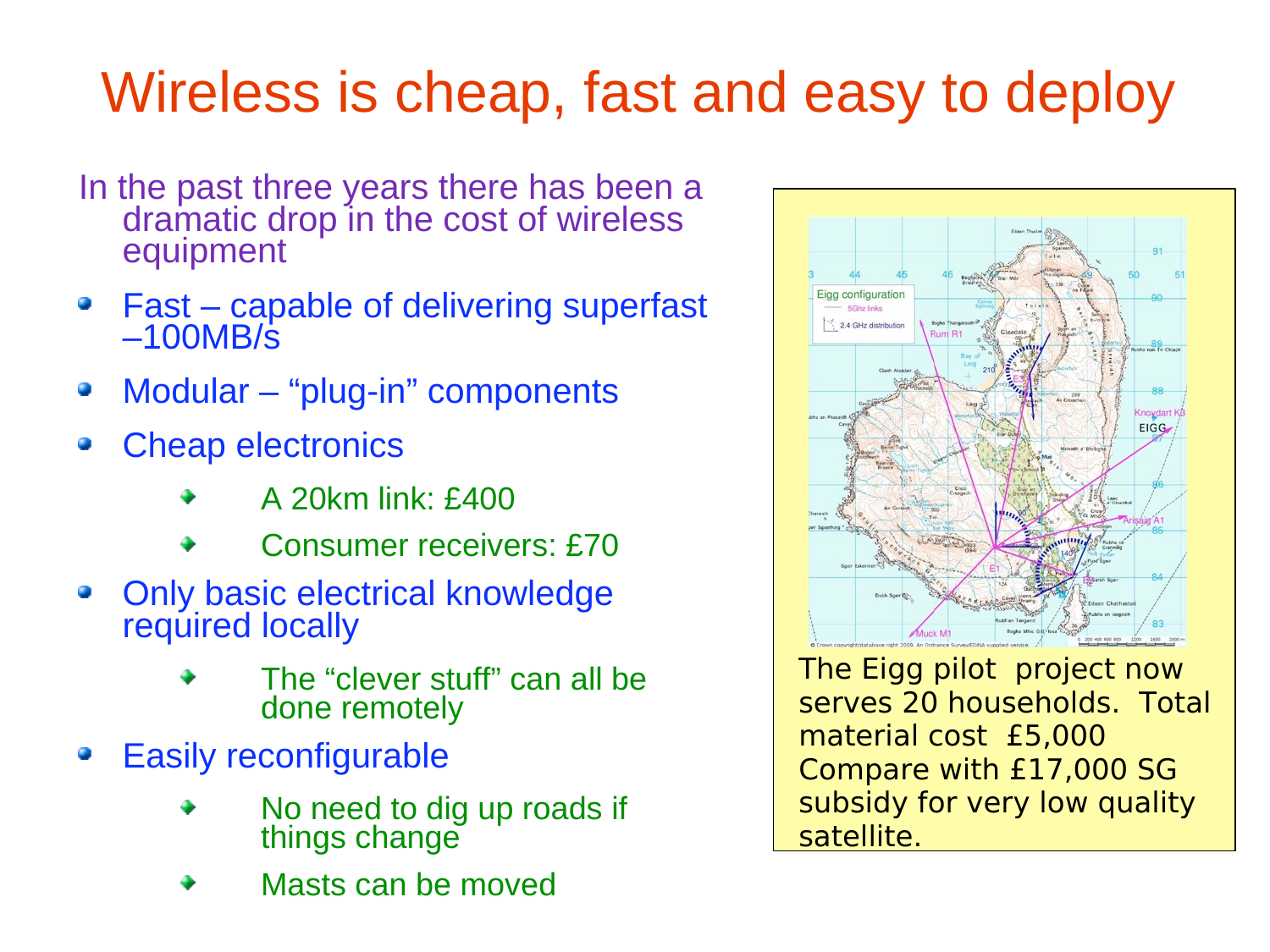# Wireless is cheap, fast and easy to deploy

- In the past three years there has been a<br>dramatic drop in the cost of wireless equipment
- Fast capable of delivering superfast  $\mathcal{L}$  $-100MB/s$
- Modular "plug-in" components
- **Cheap electronics** C.
	- A 20km link: £400
	- **Consumer receivers: £70**
- Only basic electrical knowledge<br>required locally
	- The "clever stuff" can all be done remotely
- **Easily reconfigurable** 
	- No need to dig up roads if things change
	- Masts can be moved



The Eigg pilot project now serves 20 households. Total material cost £5,000 Compare with £17,000 SG subsidy for very low quality satellite.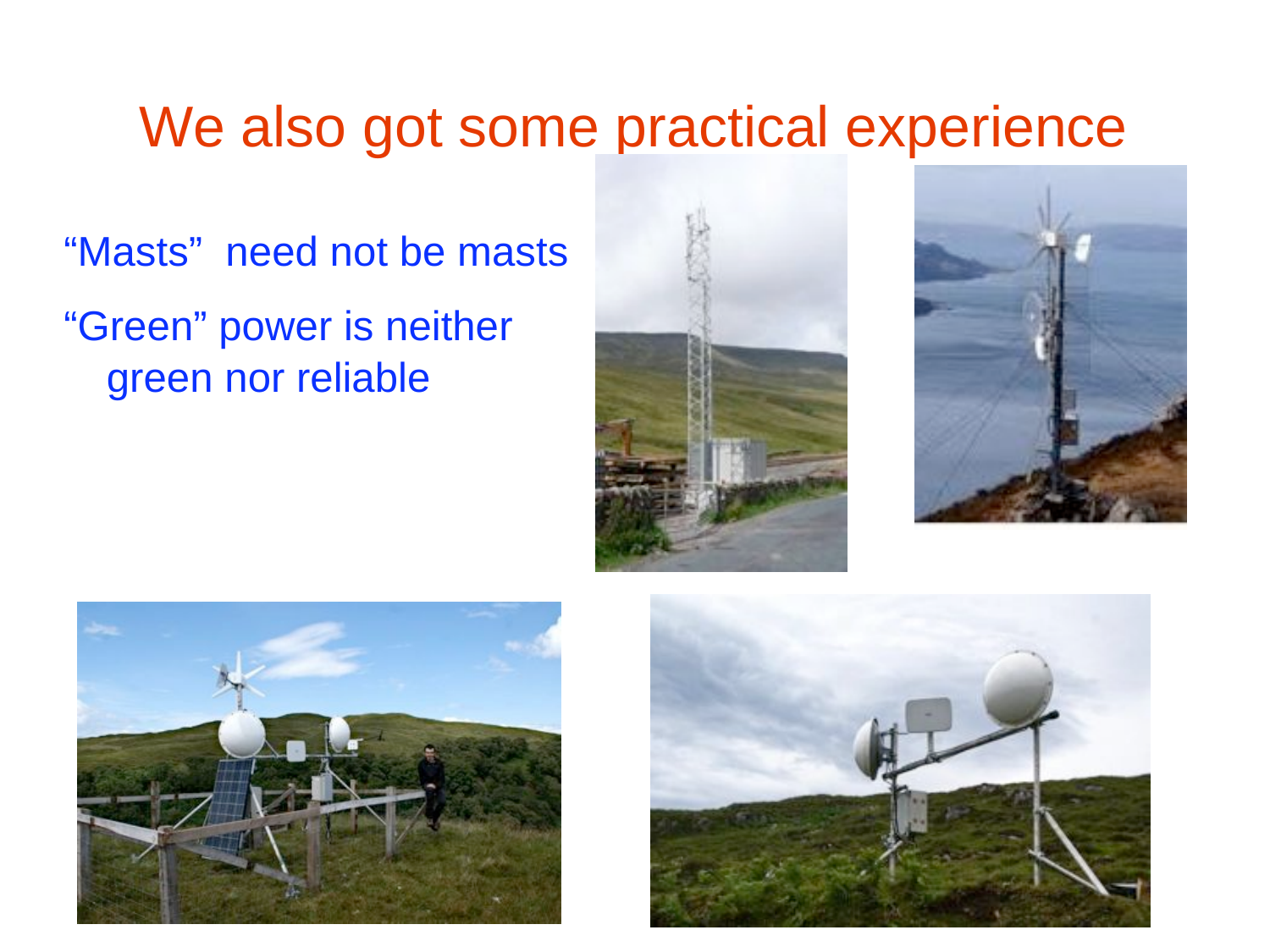### We also got some practical experience

"Masts" need not be masts

### "Green" power is neither green nor reliable







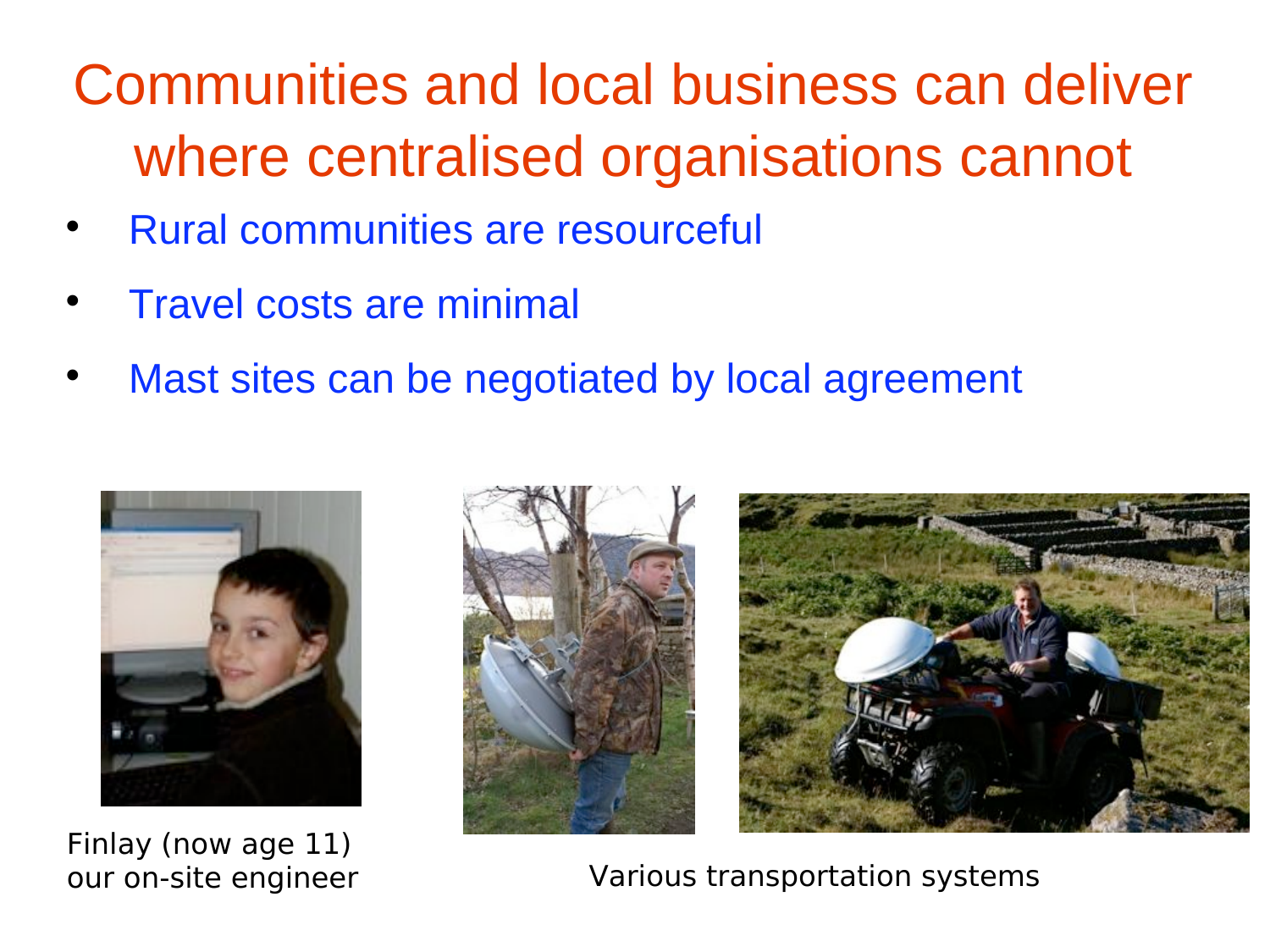# **Communities and local business can deliver** where centralised organisations cannot

- **Rural communities are resourceful**
- **Travel costs are minimal**
- Mast sites can be negotiated by local agreement



Finlay (now age 11) our on-site engineer



Various transportation systems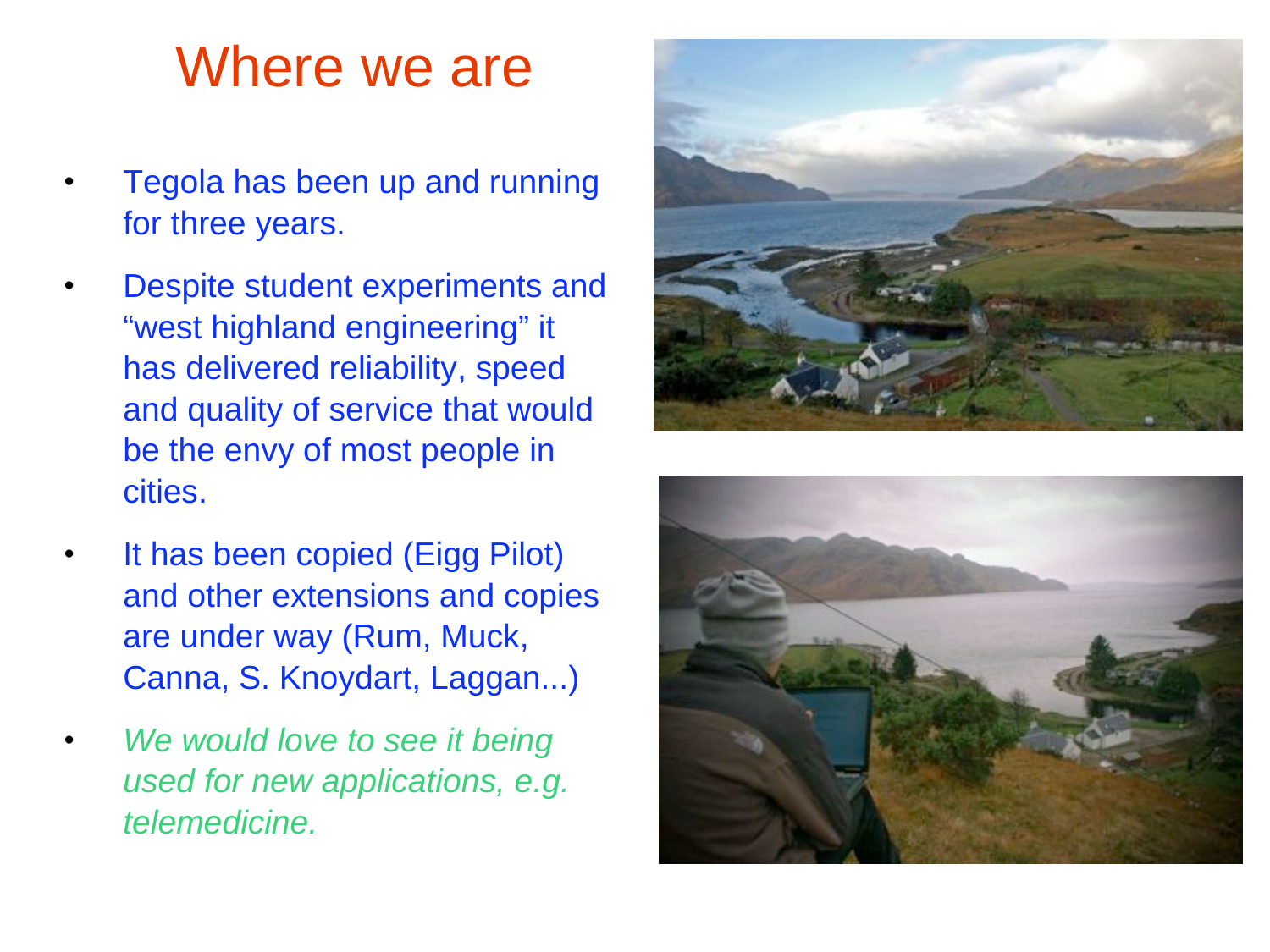## Where we are

- Tegola has been up and running for three years.
- Despite student experiments and "west highland engineering" it has delivered reliability, speed and quality of service that would be the envy of most people in cities.
- It has been copied (Eigg Pilot) and other extensions and copies are under way (Rum, Muck, Canna, S. Knoydart, Laggan...)
- We would love to see it being used for new applications, e.g. telemedicine.



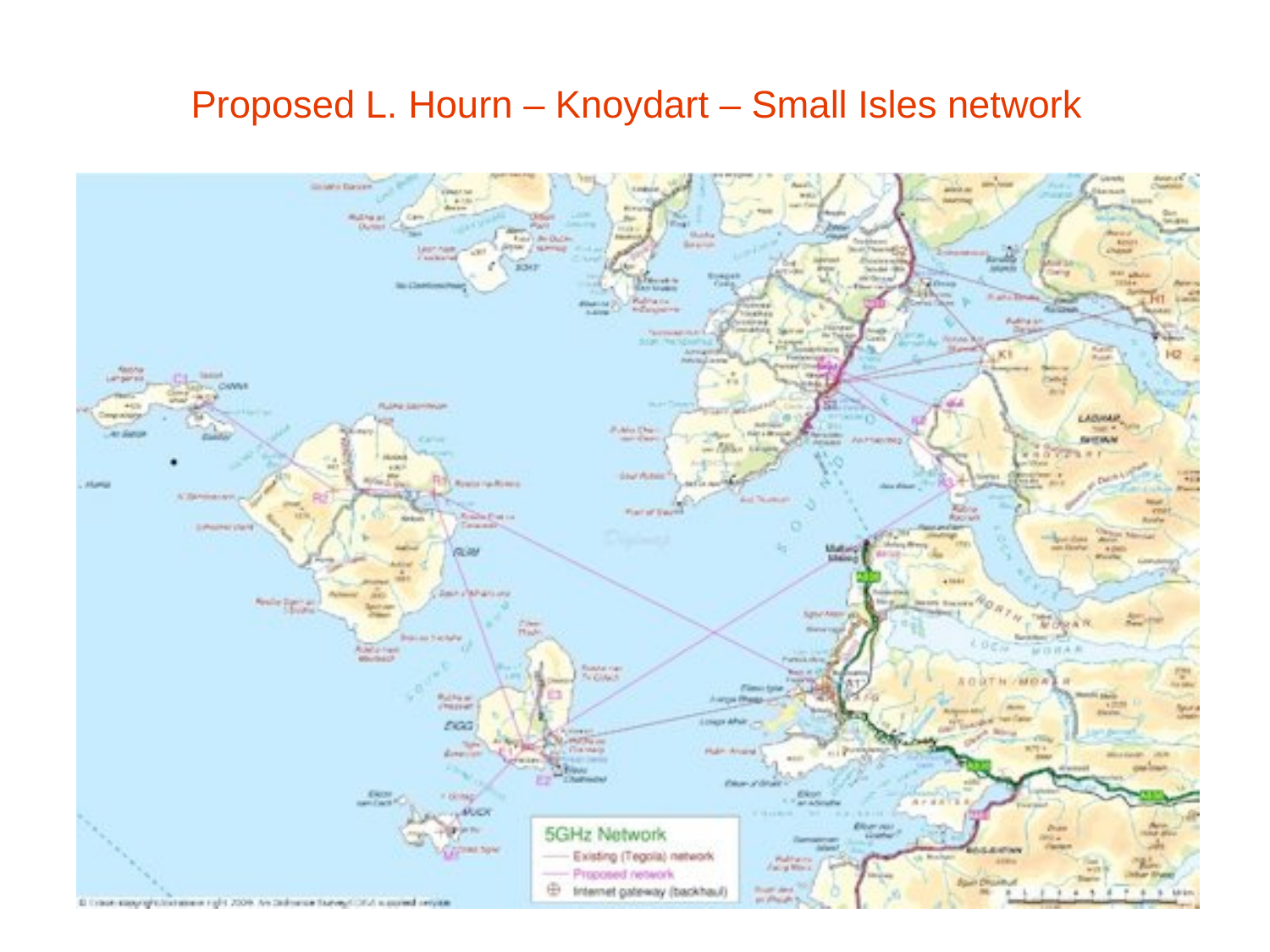#### Proposed L. Hourn - Knoydart - Small Isles network

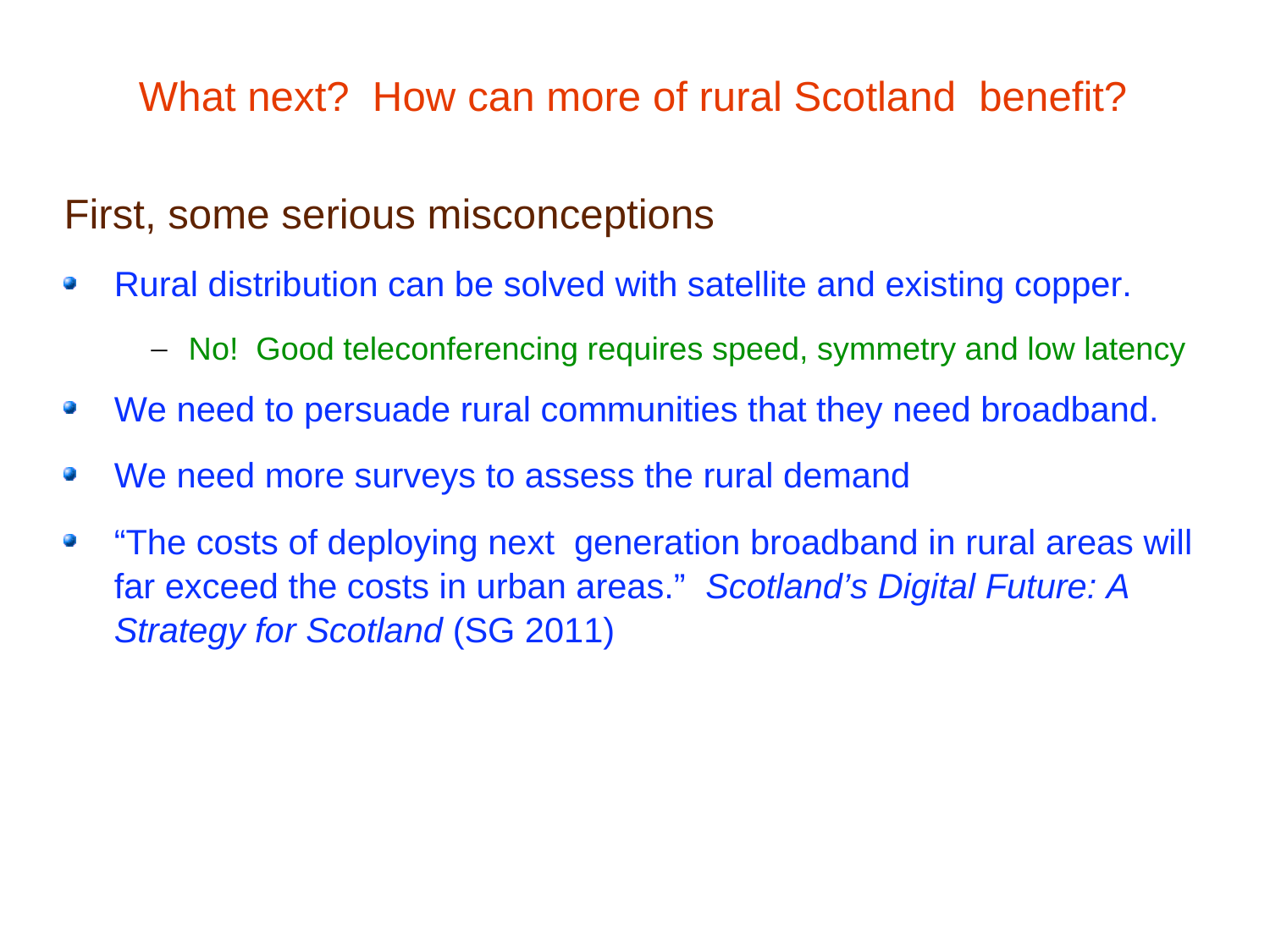### What next? How can more of rural Scotland benefit?

#### First, some serious misconceptions

- Rural distribution can be solved with satellite and existing copper.  $\mathcal{L}$ 
	- No! Good teleconferencing requires speed, symmetry and low latency
- We need to persuade rural communities that they need broadband.  $\mathcal{L}$
- We need more surveys to assess the rural demand 9
- "The costs of deploying next generation broadband in rural areas will C. far exceed the costs in urban areas." Scotland's Digital Future: A **Strategy for Scotland (SG 2011)**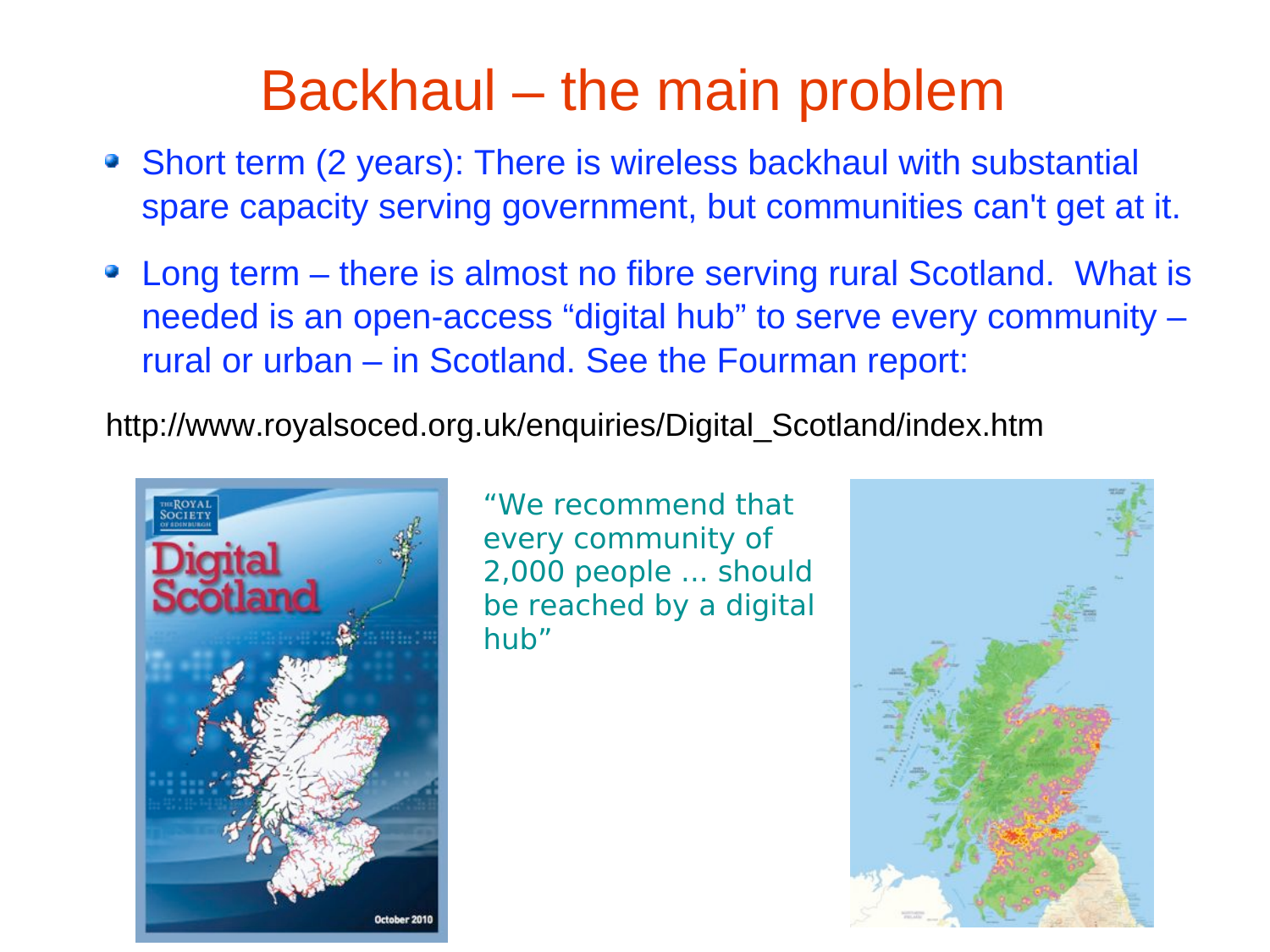## Backhaul – the main problem

- Short term (2 years): There is wireless backhaul with substantial spare capacity serving government, but communities can't get at it.
- Long term there is almost no fibre serving rural Scotland. What is needed is an open-access "digital hub" to serve every community rural or urban - in Scotland. See the Fourman report:

http://www.royalsoced.org.uk/enquiries/Digital Scotland/index.htm



"We recommend that every community of 2,000 people ... should be reached by a digital hub"